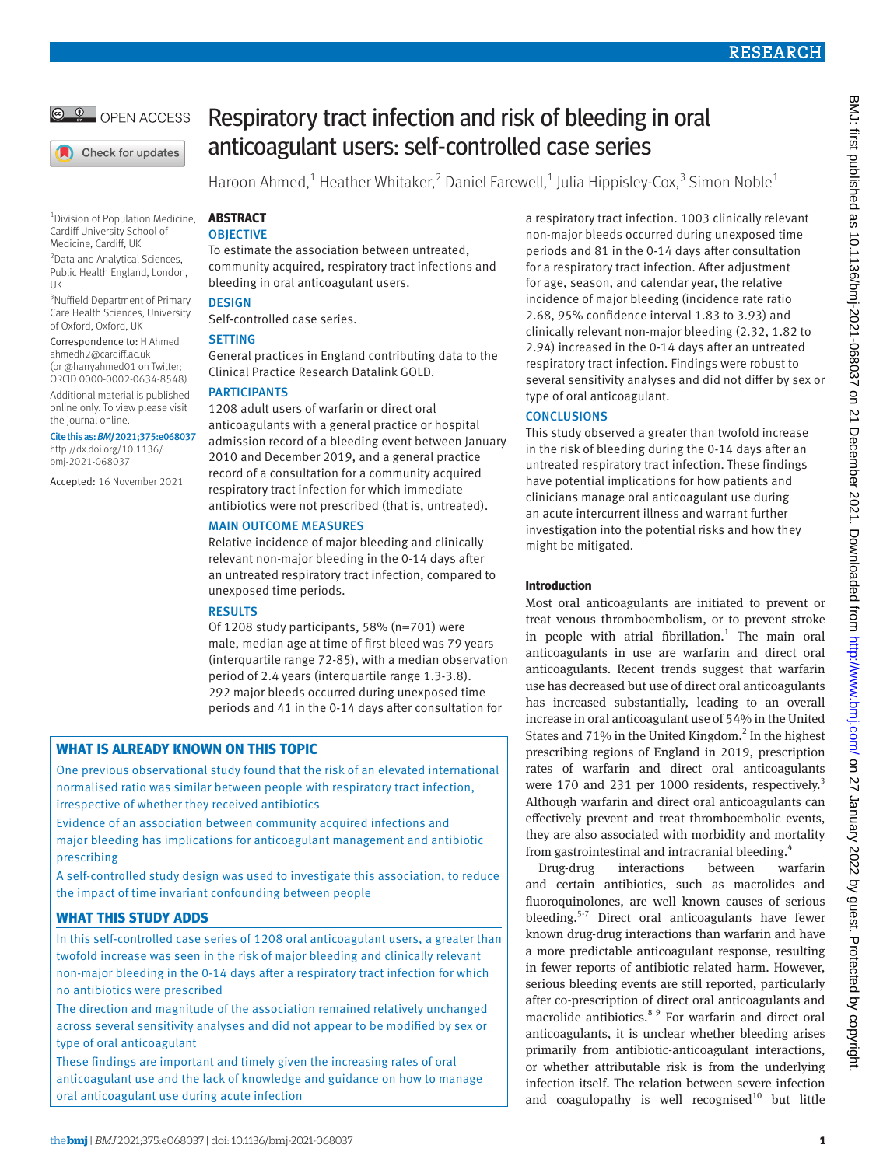

Check for updates

1 Division of Population Medicine, Cardiff University School of Medicine, Cardiff, UK

2 Data and Analytical Sciences, Public Health England, London, UK

<sup>3</sup>Nuffield Department of Primary Care Health Sciences, University of Oxford, Oxford, UK

Correspondence to: H Ahmed [ahmedh2@cardiff.ac.uk](mailto:ahmedh2@cardiff.ac.uk) (or [@harryahmed01](https://twitter.com/harryahmed01) on Twitter;

ORCID 0000-0002-0634-8548) Additional material is published online only. To view please visit

the journal online. Cite this as: *BMJ* 2021;375:e068037

[http://dx.doi.org/10.1136/](http://dx.doi.org/10.1136/bmj-2021-066768)  [bmj-2021-068037](http://dx.doi.org/10.1136/bmj-2021-066768)

Accepted: 16 November 2021

# Respiratory tract infection and risk of bleeding in oral anticoagulant users: self-controlled case series

Haroon Ahmed,<sup>1</sup> Heather Whitaker,<sup>2</sup> Daniel Farewell,<sup>1</sup> Julia Hippisley-Cox,<sup>3</sup> Simon Noble<sup>1</sup>

#### **ABSTRACT OBJECTIVE**

To estimate the association between untreated, community acquired, respiratory tract infections and bleeding in oral anticoagulant users.

## **DESIGN**

Self-controlled case series.

## **SETTING**

General practices in England contributing data to the Clinical Practice Research Datalink GOLD.

## PARTICIPANTS

1208 adult users of warfarin or direct oral anticoagulants with a general practice or hospital admission record of a bleeding event between January 2010 and December 2019, and a general practice record of a consultation for a community acquired respiratory tract infection for which immediate antibiotics were not prescribed (that is, untreated).

## MAIN OUTCOME MEASURES

Relative incidence of major bleeding and clinically relevant non-major bleeding in the 0-14 days after an untreated respiratory tract infection, compared to unexposed time periods.

## RESULTS

Of 1208 study participants, 58% (n=701) were male, median age at time of first bleed was 79 years (interquartile range 72-85), with a median observation period of 2.4 years (interquartile range 1.3-3.8). 292 major bleeds occurred during unexposed time periods and 41 in the 0-14 days after consultation for

# **WHAT IS ALREADY KNOWN ON THIS TOPIC**

One previous observational study found that the risk of an elevated international normalised ratio was similar between people with respiratory tract infection, irrespective of whether they received antibiotics

Evidence of an association between community acquired infections and major bleeding has implications for anticoagulant management and antibiotic prescribing

A self-controlled study design was used to investigate this association, to reduce the impact of time invariant confounding between people

# **WHAT THIS STUDY ADDS**

In this self-controlled case series of 1208 oral anticoagulant users, a greater than twofold increase was seen in the risk of major bleeding and clinically relevant non-major bleeding in the 0-14 days after a respiratory tract infection for which no antibiotics were prescribed

The direction and magnitude of the association remained relatively unchanged across several sensitivity analyses and did not appear to be modified by sex or type of oral anticoagulant

These findings are important and timely given the increasing rates of oral anticoagulant use and the lack of knowledge and guidance on how to manage oral anticoagulant use during acute infection

a respiratory tract infection. 1003 clinically relevant non-major bleeds occurred during unexposed time periods and 81 in the 0-14 days after consultation for a respiratory tract infection. After adjustment for age, season, and calendar year, the relative incidence of major bleeding (incidence rate ratio 2.68, 95% confidence interval 1.83 to 3.93) and clinically relevant non-major bleeding (2.32, 1.82 to 2.94) increased in the 0-14 days after an untreated respiratory tract infection. Findings were robust to several sensitivity analyses and did not differ by sex or type of oral anticoagulant.

## **CONCLUSIONS**

This study observed a greater than twofold increase in the risk of bleeding during the 0-14 days after an untreated respiratory tract infection. These findings have potential implications for how patients and clinicians manage oral anticoagulant use during an acute intercurrent illness and warrant further investigation into the potential risks and how they might be mitigated.

## **Introduction**

Most oral anticoagulants are initiated to prevent or treat venous thromboembolism, or to prevent stroke in people with atrial fibrillation.<sup>1</sup> The main oral anticoagulants in use are warfarin and direct oral anticoagulants. Recent trends suggest that warfarin use has decreased but use of direct oral anticoagulants has increased substantially, leading to an overall increase in oral anticoagulant use of 54% in the United States and  $71\%$  in the United Kingdom.<sup>2</sup> In the highest prescribing regions of England in 2019, prescription rates of warfarin and direct oral anticoagulants were 170 and 231 per 1000 residents, respectively.<sup>3</sup> Although warfarin and direct oral anticoagulants can effectively prevent and treat thromboembolic events, they are also associated with morbidity and mortality from gastrointestinal and intracranial bleeding.4

Drug-drug interactions between warfarin and certain antibiotics, such as macrolides and fluoroquinolones, are well known causes of serious bleeding.<sup>5-7</sup> Direct oral anticoagulants have fewer known drug-drug interactions than warfarin and have a more predictable anticoagulant response, resulting in fewer reports of antibiotic related harm. However, serious bleeding events are still reported, particularly after co-prescription of direct oral anticoagulants and macrolide antibiotics.<sup>8 9</sup> For warfarin and direct oral anticoagulants, it is unclear whether bleeding arises primarily from antibiotic-anticoagulant interactions, or whether attributable risk is from the underlying infection itself. The relation between severe infection and coagulopathy is well recognised<sup>10</sup> but little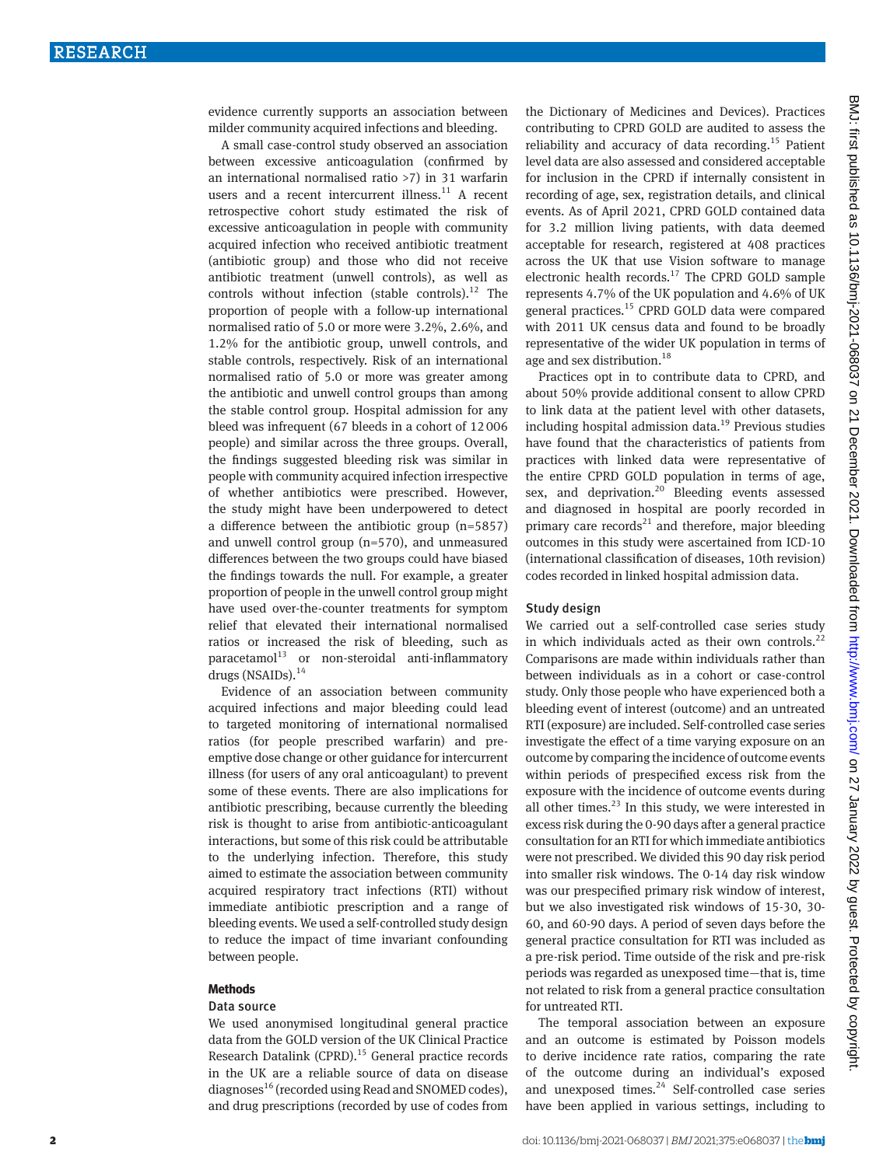evidence currently supports an association between milder community acquired infections and bleeding.

A small case-control study observed an association between excessive anticoagulation (confirmed by an international normalised ratio >7) in 31 warfarin users and a recent intercurrent illness. $11$  A recent retrospective cohort study estimated the risk of excessive anticoagulation in people with community acquired infection who received antibiotic treatment (antibiotic group) and those who did not receive antibiotic treatment (unwell controls), as well as controls without infection (stable controls). $^{12}$  The proportion of people with a follow-up international normalised ratio of 5.0 or more were 3.2%, 2.6%, and 1.2% for the antibiotic group, unwell controls, and stable controls, respectively. Risk of an international normalised ratio of 5.0 or more was greater among the antibiotic and unwell control groups than among the stable control group. Hospital admission for any bleed was infrequent (67 bleeds in a cohort of 12006 people) and similar across the three groups. Overall, the findings suggested bleeding risk was similar in people with community acquired infection irrespective of whether antibiotics were prescribed. However, the study might have been underpowered to detect a difference between the antibiotic group (n=5857) and unwell control group (n=570), and unmeasured differences between the two groups could have biased the findings towards the null. For example, a greater proportion of people in the unwell control group might have used over-the-counter treatments for symptom relief that elevated their international normalised ratios or increased the risk of bleeding, such as  $paracetamol<sup>13</sup>$  or non-steroidal anti-inflammatory drugs (NSAIDs).<sup>14</sup>

Evidence of an association between community acquired infections and major bleeding could lead to targeted monitoring of international normalised ratios (for people prescribed warfarin) and preemptive dose change or other guidance for intercurrent illness (for users of any oral anticoagulant) to prevent some of these events. There are also implications for antibiotic prescribing, because currently the bleeding risk is thought to arise from antibiotic-anticoagulant interactions, but some of this risk could be attributable to the underlying infection. Therefore, this study aimed to estimate the association between community acquired respiratory tract infections (RTI) without immediate antibiotic prescription and a range of bleeding events. We used a self-controlled study design to reduce the impact of time invariant confounding between people.

#### **Methods**

#### Data source

We used anonymised longitudinal general practice data from the GOLD version of the UK Clinical Practice Research Datalink (CPRD).<sup>15</sup> General practice records in the UK are a reliable source of data on disease diagnoses<sup>16</sup> (recorded using Read and SNOMED codes), and drug prescriptions (recorded by use of codes from the Dictionary of Medicines and Devices). Practices contributing to CPRD GOLD are audited to assess the reliability and accuracy of data recording.15 Patient level data are also assessed and considered acceptable for inclusion in the CPRD if internally consistent in recording of age, sex, registration details, and clinical events. As of April 2021, CPRD GOLD contained data for 3.2 million living patients, with data deemed acceptable for research, registered at 408 practices across the UK that use Vision software to manage electronic health records. $17$  The CPRD GOLD sample represents 4.7% of the UK population and 4.6% of UK general practices.<sup>15</sup> CPRD GOLD data were compared with 2011 UK census data and found to be broadly representative of the wider UK population in terms of age and sex distribution.<sup>18</sup>

Practices opt in to contribute data to CPRD, and about 50% provide additional consent to allow CPRD to link data at the patient level with other datasets, including hospital admission data.19 Previous studies have found that the characteristics of patients from practices with linked data were representative of the entire CPRD GOLD population in terms of age, sex, and deprivation.<sup>20</sup> Bleeding events assessed and diagnosed in hospital are poorly recorded in primary care records<sup>21</sup> and therefore, major bleeding outcomes in this study were ascertained from ICD-10 (international classification of diseases, 10th revision) codes recorded in linked hospital admission data.

#### Study design

We carried out a self-controlled case series study in which individuals acted as their own controls. $^{22}$ Comparisons are made within individuals rather than between individuals as in a cohort or case-control study. Only those people who have experienced both a bleeding event of interest (outcome) and an untreated RTI (exposure) are included. Self-controlled case series investigate the effect of a time varying exposure on an outcome by comparing the incidence of outcome events within periods of prespecified excess risk from the exposure with the incidence of outcome events during all other times. $^{23}$  In this study, we were interested in excess risk during the 0-90 days after a general practice consultation for an RTI for which immediate antibiotics were not prescribed. We divided this 90 day risk period into smaller risk windows. The 0-14 day risk window was our prespecified primary risk window of interest, but we also investigated risk windows of 15-30, 30- 60, and 60-90 days. A period of seven days before the general practice consultation for RTI was included as a pre-risk period. Time outside of the risk and pre-risk periods was regarded as unexposed time—that is, time not related to risk from a general practice consultation for untreated RTI.

The temporal association between an exposure and an outcome is estimated by Poisson models to derive incidence rate ratios, comparing the rate of the outcome during an individual's exposed and unexposed times. $24$  Self-controlled case series have been applied in various settings, including to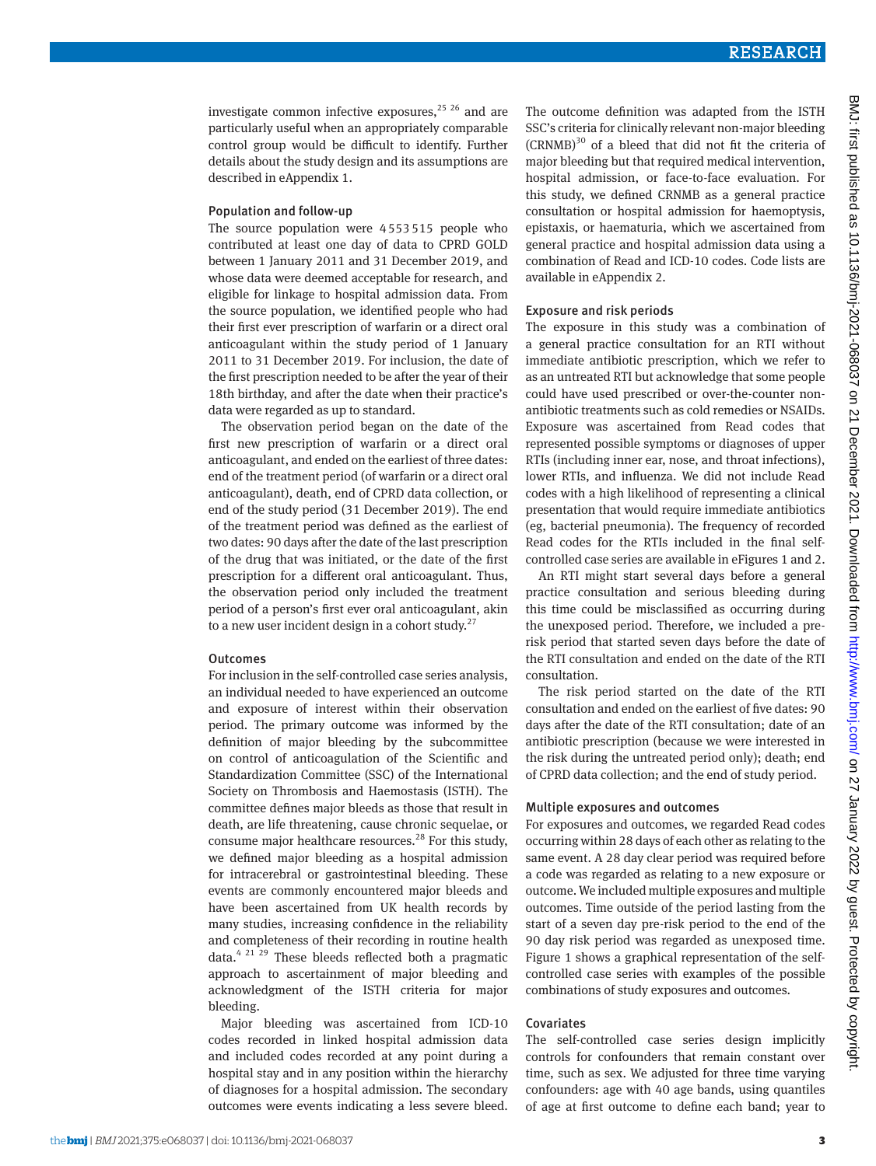investigate common infective exposures,  $2526$  and are particularly useful when an appropriately comparable control group would be difficult to identify. Further details about the study design and its assumptions are described in eAppendix 1.

#### Population and follow-up

The source population were 4553515 people who contributed at least one day of data to CPRD GOLD between 1 January 2011 and 31 December 2019, and whose data were deemed acceptable for research, and eligible for linkage to hospital admission data. From the source population, we identified people who had their first ever prescription of warfarin or a direct oral anticoagulant within the study period of 1 January 2011 to 31 December 2019. For inclusion, the date of the first prescription needed to be after the year of their 18th birthday, and after the date when their practice's data were regarded as up to standard.

The observation period began on the date of the first new prescription of warfarin or a direct oral anticoagulant, and ended on the earliest of three dates: end of the treatment period (of warfarin or a direct oral anticoagulant), death, end of CPRD data collection, or end of the study period (31 December 2019). The end of the treatment period was defined as the earliest of two dates: 90 days after the date of the last prescription of the drug that was initiated, or the date of the first prescription for a different oral anticoagulant. Thus, the observation period only included the treatment period of a person's first ever oral anticoagulant, akin to a new user incident design in a cohort study.<sup>27</sup>

#### **Outcomes**

For inclusion in the self-controlled case series analysis, an individual needed to have experienced an outcome and exposure of interest within their observation period. The primary outcome was informed by the definition of major bleeding by the subcommittee on control of anticoagulation of the Scientific and Standardization Committee (SSC) of the International Society on Thrombosis and Haemostasis (ISTH). The committee defines major bleeds as those that result in death, are life threatening, cause chronic sequelae, or consume major healthcare resources.<sup>28</sup> For this study, we defined major bleeding as a hospital admission for intracerebral or gastrointestinal bleeding. These events are commonly encountered major bleeds and have been ascertained from UK health records by many studies, increasing confidence in the reliability and completeness of their recording in routine health data. $4^{21}$   $29$  These bleeds reflected both a pragmatic approach to ascertainment of major bleeding and acknowledgment of the ISTH criteria for major bleeding.

Major bleeding was ascertained from ICD-10 codes recorded in linked hospital admission data and included codes recorded at any point during a hospital stay and in any position within the hierarchy of diagnoses for a hospital admission. The secondary outcomes were events indicating a less severe bleed. The outcome definition was adapted from the ISTH SSC's criteria for clinically relevant non-major bleeding  $(CRNMB)^{30}$  of a bleed that did not fit the criteria of major bleeding but that required medical intervention, hospital admission, or face-to-face evaluation. For this study, we defined CRNMB as a general practice consultation or hospital admission for haemoptysis, epistaxis, or haematuria, which we ascertained from general practice and hospital admission data using a combination of Read and ICD-10 codes. Code lists are available in eAppendix 2.

## Exposure and risk periods

The exposure in this study was a combination of a general practice consultation for an RTI without immediate antibiotic prescription, which we refer to as an untreated RTI but acknowledge that some people could have used prescribed or over-the-counter nonantibiotic treatments such as cold remedies or NSAIDs. Exposure was ascertained from Read codes that represented possible symptoms or diagnoses of upper RTIs (including inner ear, nose, and throat infections), lower RTIs, and influenza. We did not include Read codes with a high likelihood of representing a clinical presentation that would require immediate antibiotics (eg, bacterial pneumonia). The frequency of recorded Read codes for the RTIs included in the final selfcontrolled case series are available in eFigures 1 and 2.

An RTI might start several days before a general practice consultation and serious bleeding during this time could be misclassified as occurring during the unexposed period. Therefore, we included a prerisk period that started seven days before the date of the RTI consultation and ended on the date of the RTI consultation.

The risk period started on the date of the RTI consultation and ended on the earliest of five dates: 90 days after the date of the RTI consultation; date of an antibiotic prescription (because we were interested in the risk during the untreated period only); death; end of CPRD data collection; and the end of study period.

## Multiple exposures and outcomes

For exposures and outcomes, we regarded Read codes occurring within 28 days of each other as relating to the same event. A 28 day clear period was required before a code was regarded as relating to a new exposure or outcome. We included multiple exposures and multiple outcomes. Time outside of the period lasting from the start of a seven day pre-risk period to the end of the 90 day risk period was regarded as unexposed time. Figure 1 shows a graphical representation of the selfcontrolled case series with examples of the possible combinations of study exposures and outcomes.

## Covariates

The self-controlled case series design implicitly controls for confounders that remain constant over time, such as sex. We adjusted for three time varying confounders: age with 40 age bands, using quantiles of age at first outcome to define each band; year to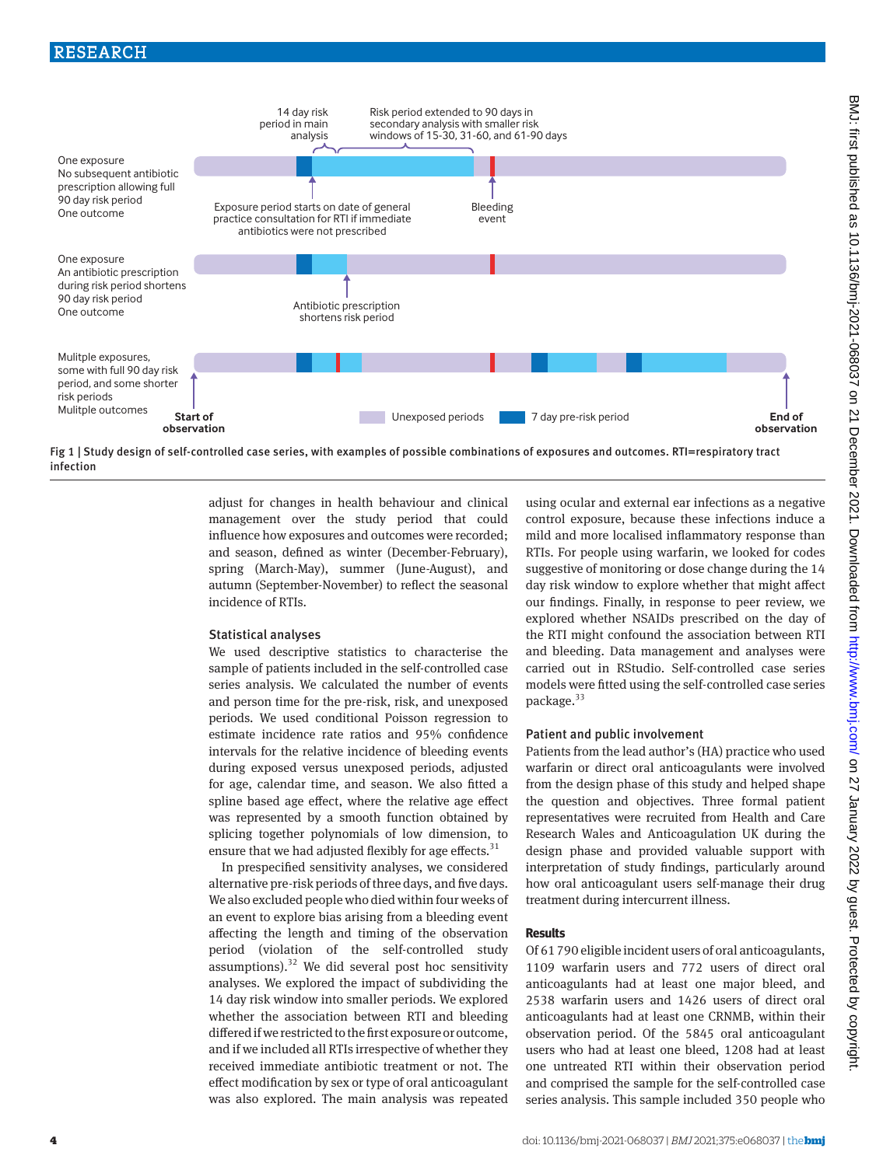# RESEARCH



Fig 1 | Study design of self-controlled case series, with examples of possible combinations of exposures and outcomes. RTI=respiratory tract infection

adjust for changes in health behaviour and clinical management over the study period that could influence how exposures and outcomes were recorded; and season, defined as winter (December-February), spring (March-May), summer (June-August), and autumn (September-November) to reflect the seasonal incidence of RTIs.

## Statistical analyses

We used descriptive statistics to characterise the sample of patients included in the self-controlled case series analysis. We calculated the number of events and person time for the pre-risk, risk, and unexposed periods. We used conditional Poisson regression to estimate incidence rate ratios and 95% confidence intervals for the relative incidence of bleeding events during exposed versus unexposed periods, adjusted for age, calendar time, and season. We also fitted a spline based age effect, where the relative age effect was represented by a smooth function obtained by splicing together polynomials of low dimension, to ensure that we had adjusted flexibly for age effects. $31$ 

In prespecified sensitivity analyses, we considered alternative pre-risk periods of three days, and five days. We also excluded people who died within four weeks of an event to explore bias arising from a bleeding event affecting the length and timing of the observation period (violation of the self-controlled study assumptions). $32$  We did several post hoc sensitivity analyses. We explored the impact of subdividing the 14 day risk window into smaller periods. We explored whether the association between RTI and bleeding differed if we restricted to the first exposure or outcome, and if we included all RTIs irrespective of whether they received immediate antibiotic treatment or not. The effect modification by sex or type of oral anticoagulant was also explored. The main analysis was repeated

using ocular and external ear infections as a negative control exposure, because these infections induce a mild and more localised inflammatory response than RTIs. For people using warfarin, we looked for codes suggestive of monitoring or dose change during the 14 day risk window to explore whether that might affect our findings. Finally, in response to peer review, we explored whether NSAIDs prescribed on the day of the RTI might confound the association between RTI and bleeding. Data management and analyses were carried out in RStudio. Self-controlled case series models were fitted using the self-controlled case series package.<sup>33</sup>

#### Patient and public involvement

Patients from the lead author's (HA) practice who used warfarin or direct oral anticoagulants were involved from the design phase of this study and helped shape the question and objectives. Three formal patient representatives were recruited from Health and Care Research Wales and Anticoagulation UK during the design phase and provided valuable support with interpretation of study findings, particularly around how oral anticoagulant users self-manage their drug treatment during intercurrent illness.

#### **Results**

Of 61790 eligible incident users of oral anticoagulants, 1109 warfarin users and 772 users of direct oral anticoagulants had at least one major bleed, and 2538 warfarin users and 1426 users of direct oral anticoagulants had at least one CRNMB, within their observation period. Of the 5845 oral anticoagulant users who had at least one bleed, 1208 had at least one untreated RTI within their observation period and comprised the sample for the self-controlled case series analysis. This sample included 350 people who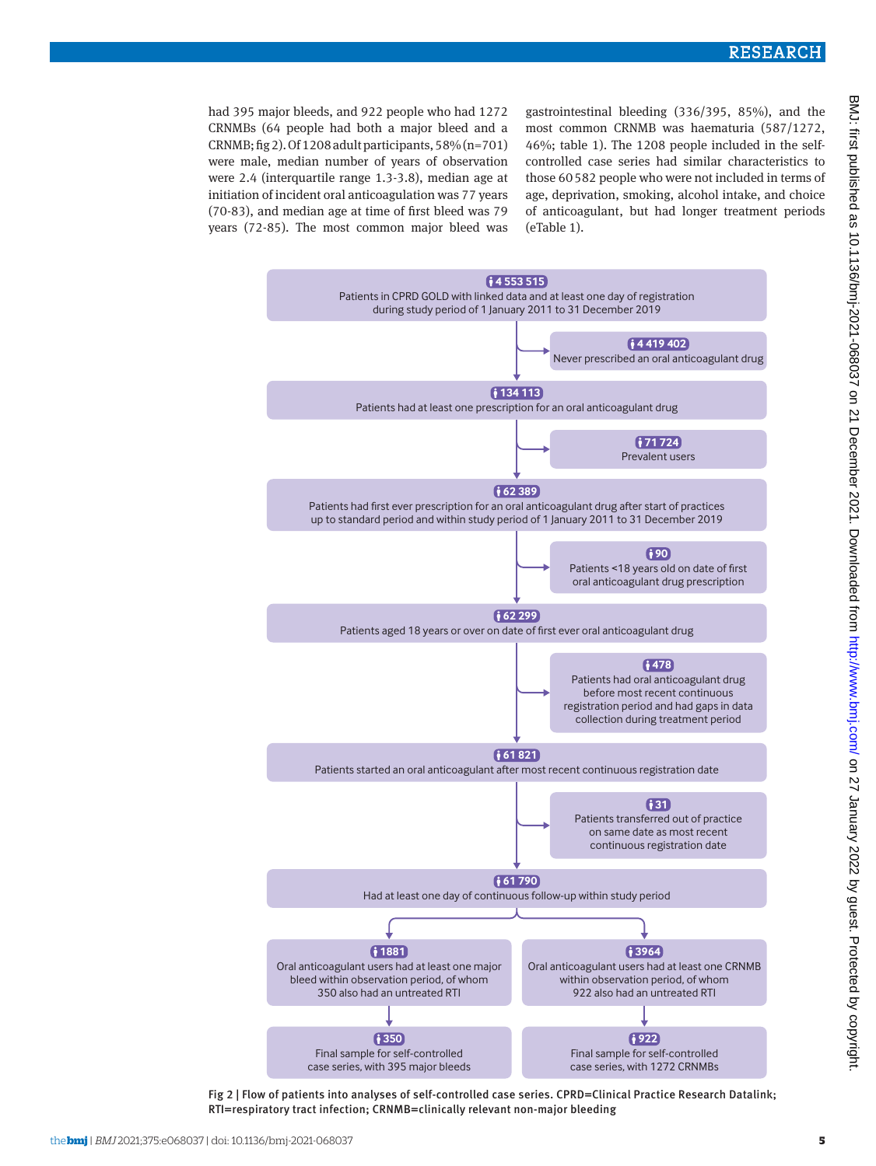had 395 major bleeds, and 922 people who had 1272 CRNMBs (64 people had both a major bleed and a CRNMB; fig 2). Of 1208 adult participants,  $58\%$  (n=701) were male, median number of years of observation were 2.4 (interquartile range 1.3-3.8), median age at initiation of incident oral anticoagulation was 77 years (70-83), and median age at time of first bleed was 79 years (72-85). The most common major bleed was gastrointestinal bleeding (336/395, 85%), and the most common CRNMB was haematuria (587/1272, 46%; table 1). The 1208 people included in the selfcontrolled case series had similar characteristics to those 60582 people who were not included in terms of age, deprivation, smoking, alcohol intake, and choice of anticoagulant, but had longer treatment periods (eTable 1).



Fig 2 | Flow of patients into analyses of self-controlled case series. CPRD=Clinical Practice Research Datalink; RTI=respiratory tract infection; CRNMB=clinically relevant non-major bleeding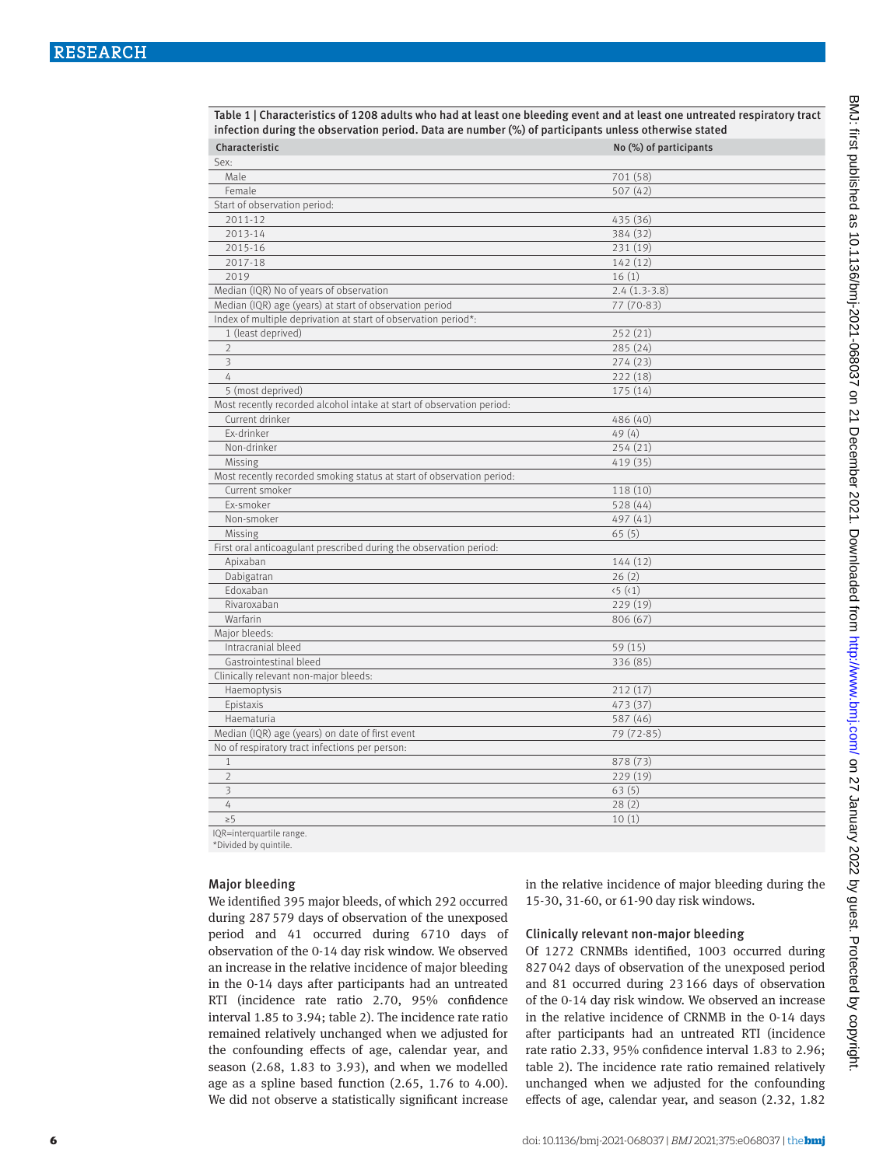| infection during the observation period. Data are number (%) of participants unless otherwise stated |                        |
|------------------------------------------------------------------------------------------------------|------------------------|
| Characteristic                                                                                       | No (%) of participants |
| Sex:                                                                                                 |                        |
| Male                                                                                                 | 701 (58)               |
| Female                                                                                               | 507(42)                |
| Start of observation period:                                                                         |                        |
| 2011-12                                                                                              | 435 (36)               |
| 2013-14                                                                                              | 384 (32)               |
| 2015-16                                                                                              | 231 (19)               |
| 2017-18                                                                                              | 142(12)                |
| 2019                                                                                                 | 16(1)                  |
| Median (IQR) No of years of observation                                                              | $2.4(1.3-3.8)$         |
| Median (IQR) age (years) at start of observation period                                              | 77 (70-83)             |
| Index of multiple deprivation at start of observation period*:                                       |                        |
| 1 (least deprived)                                                                                   | 252(21)                |
| $\overline{2}$                                                                                       | 285(24)                |
| $\overline{\mathbf{3}}$                                                                              | 274(23)                |
| $\overline{4}$                                                                                       | 222(18)                |
| 5 (most deprived)                                                                                    | 175(14)                |
| Most recently recorded alcohol intake at start of observation period:                                |                        |
| Current drinker                                                                                      | 486 (40)               |
| Ex-drinker                                                                                           | 49(4)                  |
| Non-drinker                                                                                          | 254(21)                |
| Missing                                                                                              | 419 (35)               |
| Most recently recorded smoking status at start of observation period:                                |                        |
| Current smoker                                                                                       | 118 (10)               |
| Ex-smoker                                                                                            | 528(44)                |
| Non-smoker                                                                                           | 497 (41)               |
| Missing                                                                                              | 65(5)                  |
| First oral anticoagulant prescribed during the observation period:                                   |                        |
| Apixaban                                                                                             | 144(12)                |
| Dabigatran                                                                                           | 26(2)                  |
| Edoxaban                                                                                             | (5)(1)                 |
| Rivaroxaban                                                                                          | 229(19)                |
| Warfarin                                                                                             | 806 (67)               |
| Major bleeds:                                                                                        |                        |
| Intracranial bleed                                                                                   | 59(15)                 |
| Gastrointestinal bleed                                                                               | 336 (85)               |
| Clinically relevant non-major bleeds:                                                                |                        |
| Haemoptysis                                                                                          | 212(17)                |
| Epistaxis                                                                                            | 473 (37)               |
| Haematuria                                                                                           | 587 (46)               |
| Median (IQR) age (years) on date of first event                                                      | 79 (72-85)             |
| No of respiratory tract infections per person:                                                       |                        |
| $\mathbf{1}$                                                                                         | 878 (73)               |
| $\overline{2}$                                                                                       | 229 (19)               |
| 3                                                                                                    | 63(5)                  |
| $\overline{4}$                                                                                       | 28(2)                  |
| $\geq 5$                                                                                             | 10(1)                  |

Table 1 | Characteristics of 1208 adults who had at least one bleeding event and at least one untreated respiratory tract

IQR=interquartile range.

\*Divided by quintile.

#### Major bleeding

We identified 395 major bleeds, of which 292 occurred during 287579 days of observation of the unexposed period and 41 occurred during 6710 days of observation of the 0-14 day risk window. We observed an increase in the relative incidence of major bleeding in the 0-14 days after participants had an untreated RTI (incidence rate ratio 2.70, 95% confidence interval 1.85 to 3.94; table 2). The incidence rate ratio remained relatively unchanged when we adjusted for the confounding effects of age, calendar year, and season (2.68, 1.83 to 3.93), and when we modelled age as a spline based function (2.65, 1.76 to 4.00). We did not observe a statistically significant increase in the relative incidence of major bleeding during the 15-30, 31-60, or 61-90 day risk windows.

## Clinically relevant non-major bleeding

Of 1272 CRNMBs identified, 1003 occurred during 827042 days of observation of the unexposed period and 81 occurred during 23166 days of observation of the 0-14 day risk window. We observed an increase in the relative incidence of CRNMB in the 0-14 days after participants had an untreated RTI (incidence rate ratio 2.33, 95% confidence interval 1.83 to 2.96; table 2). The incidence rate ratio remained relatively unchanged when we adjusted for the confounding effects of age, calendar year, and season (2.32, 1.82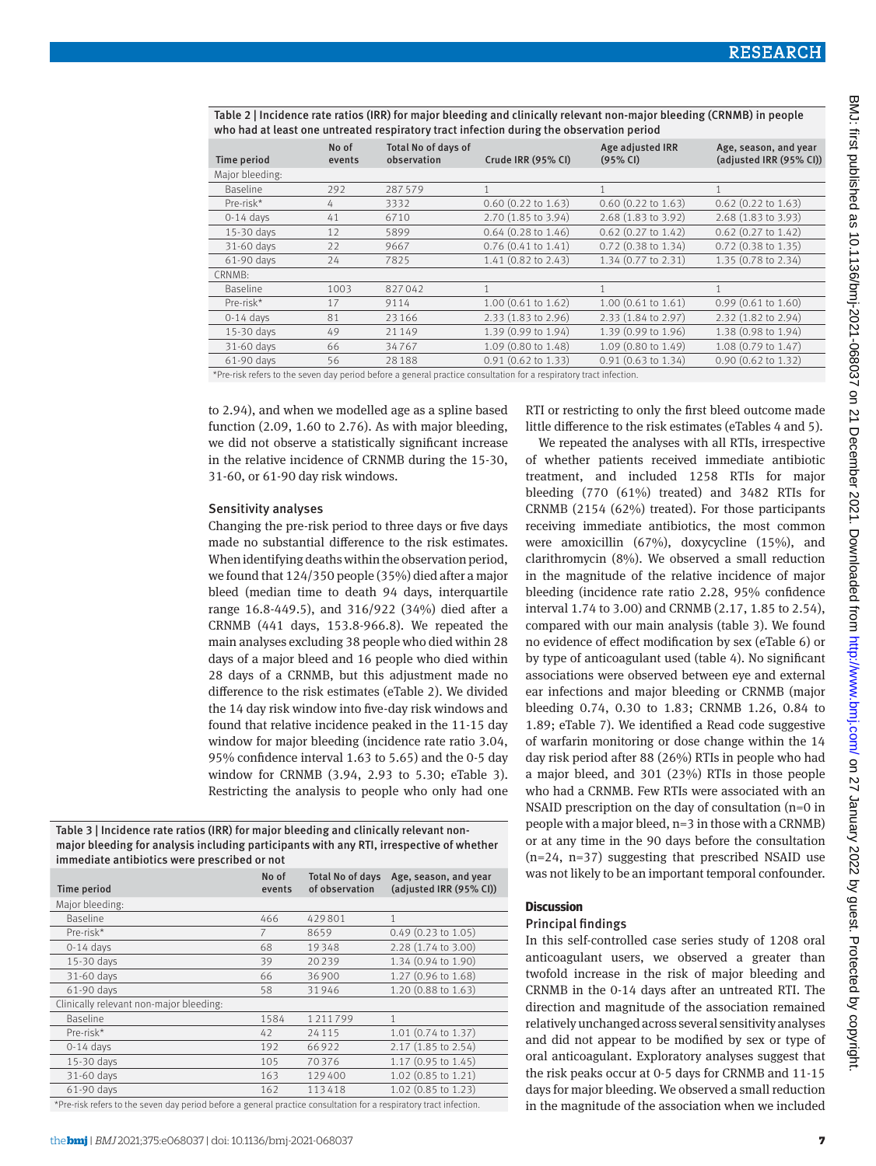| Time period     | No of<br>events | <b>Total No of days of</b><br>observation | Crude IRR (95% CI)        | Age adjusted IRR<br>(95% CI)  | Age, season, and year<br>(adjusted IRR (95% CI)) |
|-----------------|-----------------|-------------------------------------------|---------------------------|-------------------------------|--------------------------------------------------|
| Major bleeding: |                 |                                           |                           |                               |                                                  |
| Baseline        | 292             | 287579                                    | $\mathbf{1}$              |                               |                                                  |
| Pre-risk*       | 4               | 3332                                      | $0.60$ $(0.22$ to $1.63)$ | $0.60$ $(0.22$ to $1.63)$     | $0.62$ (0.22 to 1.63)                            |
| $0-14$ days     | 41              | 6710                                      | 2.70 (1.85 to 3.94)       | 2.68 (1.83 to 3.92)           | 2.68 (1.83 to 3.93)                              |
| 15-30 days      | 12              | 5899                                      | $0.64$ (0.28 to 1.46)     | 0.62 (0.27 to 1.42)           | $0.62$ (0.27 to 1.42)                            |
| 31-60 days      | 22              | 9667                                      | $0.76$ $(0.41$ to $1.41)$ | 0.72 (0.38 to 1.34)           | $0.72$ (0.38 to 1.35)                            |
| 61-90 days      | 24              | 7825                                      | $1.41$ (0.82 to 2.43)     | 1.34 (0.77 to 2.31)           | 1.35 (0.78 to 2.34)                              |
| CRNMB:          |                 |                                           |                           |                               |                                                  |
| <b>Baseline</b> | 1003            | 827042                                    | $\mathbf{1}$              | $\mathbf{1}$                  | 1                                                |
| Pre-risk*       | 17              | 9114                                      | $1.00$ (0.61 to 1.62)     | 1.00(0.61 to 1.61)            | $0.99$ (0.61 to 1.60)                            |
| $0-14$ days     | 81              | 23166                                     | 2.33 (1.83 to 2.96)       | 2.33 (1.84 to 2.97)           | 2.32 (1.82 to 2.94)                              |
| 15-30 days      | 49              | 21149                                     | 1.39 (0.99 to 1.94)       | 1.39 (0.99 to 1.96)           | 1.38 (0.98 to 1.94)                              |
| 31-60 days      | 66              | 34767                                     | 1.09 (0.80 to 1.48)       | 1.09 (0.80 to 1.49)           | 1.08 (0.79 to 1.47)                              |
| 61-90 days      | 56              | 28188                                     | $0.91$ $(0.62$ to $1.33)$ | $0.91(0.63 \text{ to } 1.34)$ | $0.90$ $(0.62$ to $1.32)$                        |

Table 2 | Incidence rate ratios (IRR) for major bleeding and clinically relevant non-major bleeding (CRNMB) in people who had at least one untreated respiratory tract infection during the observation period

\*Pre-risk refers to the seven day period before a general practice consultation for a respiratory tract infection.

to 2.94), and when we modelled age as a spline based function (2.09, 1.60 to 2.76). As with major bleeding, we did not observe a statistically significant increase in the relative incidence of CRNMB during the 15-30, 31-60, or 61-90 day risk windows.

#### Sensitivity analyses

Changing the pre-risk period to three days or five days made no substantial difference to the risk estimates. When identifying deaths within the observation period, we found that 124/350 people (35%) died after a major bleed (median time to death 94 days, interquartile range 16.8-449.5), and 316/922 (34%) died after a CRNMB (441 days, 153.8-966.8). We repeated the main analyses excluding 38 people who died within 28 days of a major bleed and 16 people who died within 28 days of a CRNMB, but this adjustment made no difference to the risk estimates (eTable 2). We divided the 14 day risk window into five-day risk windows and found that relative incidence peaked in the 11-15 day window for major bleeding (incidence rate ratio 3.04, 95% confidence interval 1.63 to 5.65) and the 0-5 day window for CRNMB (3.94, 2.93 to 5.30; eTable 3). Restricting the analysis to people who only had one

Table 3 | Incidence rate ratios (IRR) for major bleeding and clinically relevant nonmajor bleeding for analysis including participants with any RTI, irrespective of whether immediate antibiotics were prescribed or not

| No of<br>events | <b>Total No of days</b><br>of observation | Age, season, and year<br>(adjusted IRR (95% CI)) |
|-----------------|-------------------------------------------|--------------------------------------------------|
|                 |                                           |                                                  |
| 466             | 429801                                    | 1                                                |
| 7               | 8659                                      | $0.49$ (0.23 to 1.05)                            |
| 68              | 19348                                     | 2.28 (1.74 to 3.00)                              |
| 39              | 20239                                     | 1.34 (0.94 to 1.90)                              |
| 66              | 36900                                     | 1.27 (0.96 to 1.68)                              |
| 58              | 31946                                     | 1.20 (0.88 to 1.63)                              |
|                 |                                           |                                                  |
| 1584            | 1211799                                   | $\mathbf{1}$                                     |
| 42              | 24115                                     | 1.01 (0.74 to 1.37)                              |
| 192             | 66922                                     | 2.17 (1.85 to 2.54)                              |
| 105             | 70376                                     | 1.17 (0.95 to 1.45)                              |
| 163             | 129400                                    | 1.02 (0.85 to 1.21)                              |
| 162             | 113418                                    | 1.02 (0.85 to 1.23)                              |
|                 |                                           |                                                  |

\*Pre-risk refers to the seven day period before a general practice consultation for a respiratory tract infection.

RTI or restricting to only the first bleed outcome made little difference to the risk estimates (eTables 4 and 5).

We repeated the analyses with all RTIs, irrespective of whether patients received immediate antibiotic treatment, and included 1258 RTIs for major bleeding (770 (61%) treated) and 3482 RTIs for CRNMB (2154 (62%) treated). For those participants receiving immediate antibiotics, the most common were amoxicillin (67%), doxycycline (15%), and clarithromycin (8%). We observed a small reduction in the magnitude of the relative incidence of major bleeding (incidence rate ratio 2.28, 95% confidence interval 1.74 to 3.00) and CRNMB (2.17, 1.85 to 2.54), compared with our main analysis (table 3). We found no evidence of effect modification by sex (eTable 6) or by type of anticoagulant used (table 4). No significant associations were observed between eye and external ear infections and major bleeding or CRNMB (major bleeding 0.74, 0.30 to 1.83; CRNMB 1.26, 0.84 to 1.89; eTable 7). We identified a Read code suggestive of warfarin monitoring or dose change within the 14 day risk period after 88 (26%) RTIs in people who had a major bleed, and 301 (23%) RTIs in those people who had a CRNMB. Few RTIs were associated with an NSAID prescription on the day of consultation (n=0 in people with a major bleed, n=3 in those with a CRNMB) or at any time in the 90 days before the consultation (n=24, n=37) suggesting that prescribed NSAID use was not likely to be an important temporal confounder.

## **Discussion**

#### Principal findings

In this self-controlled case series study of 1208 oral anticoagulant users, we observed a greater than twofold increase in the risk of major bleeding and CRNMB in the 0-14 days after an untreated RTI. The direction and magnitude of the association remained relatively unchanged across several sensitivity analyses and did not appear to be modified by sex or type of oral anticoagulant. Exploratory analyses suggest that the risk peaks occur at 0-5 days for CRNMB and 11-15 days for major bleeding. We observed a small reduction in the magnitude of the association when we included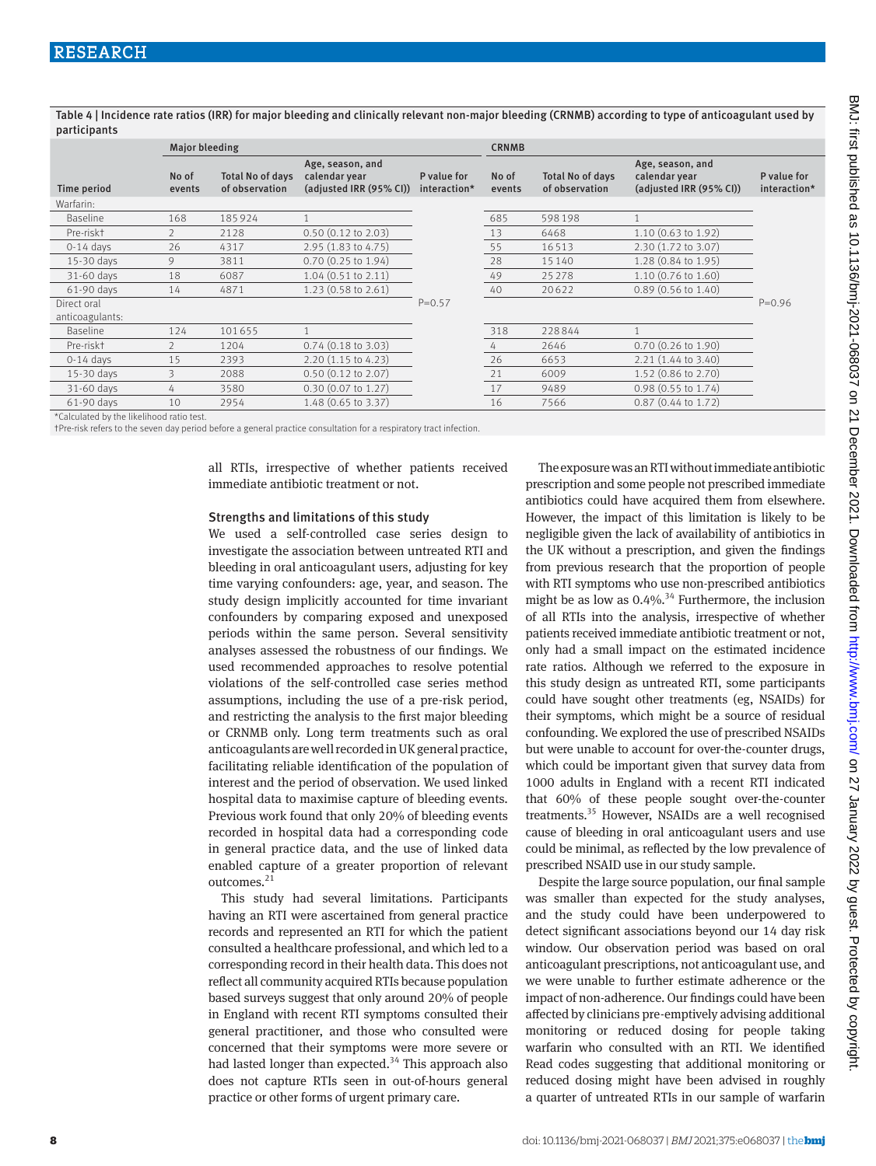Table 4 | Incidence rate ratios (IRR) for major bleeding and clinically relevant non-major bleeding (CRNMB) according to type of anticoagulant used by participants

|                                          |                 | <b>Major bleeding</b>                     |                                                              |                             |                 | <b>CRNMB</b>                              |                                                              |                             |  |
|------------------------------------------|-----------------|-------------------------------------------|--------------------------------------------------------------|-----------------------------|-----------------|-------------------------------------------|--------------------------------------------------------------|-----------------------------|--|
| Time period                              | No of<br>events | <b>Total No of days</b><br>of observation | Age, season, and<br>calendar year<br>(adjusted IRR (95% CI)) | P value for<br>interaction* | No of<br>events | <b>Total No of days</b><br>of observation | Age, season, and<br>calendar year<br>(adjusted IRR (95% CI)) | P value for<br>interaction* |  |
| Warfarin:                                |                 |                                           |                                                              |                             |                 |                                           |                                                              |                             |  |
| Baseline                                 | 168             | 185924                                    |                                                              |                             | 685             | 598198                                    |                                                              |                             |  |
| Pre-riskt                                | $\mathcal{P}$   | 2128                                      | $0.50$ $(0.12$ to $2.03)$                                    |                             | 13              | 6468                                      | $1.10(0.63 \text{ to } 1.92)$                                |                             |  |
| $0-14$ days                              | 26              | 4317                                      | 2.95 (1.83 to 4.75)                                          |                             | 55              | 16513                                     | 2.30 (1.72 to 3.07)                                          |                             |  |
| 15-30 days                               | 9               | 3811                                      | $0.70$ $(0.25$ to $1.94)$                                    |                             | 28              | 15140                                     | 1.28 (0.84 to 1.95)                                          |                             |  |
| 31-60 days                               | 18              | 6087                                      | $1.04$ (0.51 to 2.11)                                        |                             | 49              | 25278                                     | 1.10 (0.76 to 1.60)                                          |                             |  |
| 61-90 days                               | 14              | 4871                                      | $1.23(0.58 \text{ to } 2.61)$                                |                             | 40              | 20622                                     | $0.89$ (0.56 to 1.40)                                        |                             |  |
| Direct oral<br>anticoagulants:           |                 |                                           |                                                              | $P = 0.57$                  |                 |                                           |                                                              | $P = 0.96$                  |  |
| Baseline                                 | 124             | 101655                                    |                                                              |                             | 318             | 228844                                    |                                                              |                             |  |
| Pre-riskt                                |                 | 1204                                      | $0.74$ (0.18 to 3.03)                                        |                             | 4               | 2646                                      | $0.70$ $(0.26$ to $1.90)$                                    |                             |  |
| $0-14$ days                              | 15              | 2393                                      | $2.20(1.15 \text{ to } 4.23)$                                |                             | 26              | 6653                                      | $2.21(1.44 \text{ to } 3.40)$                                |                             |  |
| 15-30 days                               | 3               | 2088                                      | $0.50$ $(0.12$ to $2.07)$                                    |                             | 21              | 6009                                      | 1.52 (0.86 to 2.70)                                          |                             |  |
| 31-60 days                               | 4               | 3580                                      | $0.30$ (0.07 to 1.27)                                        |                             | 17              | 9489                                      | 0.98 (0.55 to 1.74)                                          |                             |  |
| 61-90 days                               | 10              | 2954                                      | 1.48 (0.65 to 3.37)                                          |                             | 16              | 7566                                      | $0.87$ (0.44 to 1.72)                                        |                             |  |
| *Calculated by the likelihood ratio test |                 |                                           |                                                              |                             |                 |                                           |                                                              |                             |  |

\*Calculated by the likelihood ratio test. †Pre-risk refers to the seven day period before a general practice consultation for a respiratory tract infection.

all RTIs, irrespective of whether patients received immediate antibiotic treatment or not.

#### Strengths and limitations of this study

We used a self-controlled case series design to investigate the association between untreated RTI and bleeding in oral anticoagulant users, adjusting for key time varying confounders: age, year, and season. The study design implicitly accounted for time invariant confounders by comparing exposed and unexposed periods within the same person. Several sensitivity analyses assessed the robustness of our findings. We used recommended approaches to resolve potential violations of the self-controlled case series method assumptions, including the use of a pre-risk period, and restricting the analysis to the first major bleeding or CRNMB only. Long term treatments such as oral anticoagulants are well recorded in UK general practice, facilitating reliable identification of the population of interest and the period of observation. We used linked hospital data to maximise capture of bleeding events. Previous work found that only 20% of bleeding events recorded in hospital data had a corresponding code in general practice data, and the use of linked data enabled capture of a greater proportion of relevant outcomes.<sup>21</sup>

This study had several limitations. Participants having an RTI were ascertained from general practice records and represented an RTI for which the patient consulted a healthcare professional, and which led to a corresponding record in their health data. This does not reflect all community acquired RTIs because population based surveys suggest that only around 20% of people in England with recent RTI symptoms consulted their general practitioner, and those who consulted were concerned that their symptoms were more severe or had lasted longer than expected.<sup>34</sup> This approach also does not capture RTIs seen in out-of-hours general practice or other forms of urgent primary care.

The exposure was an RTI without immediate antibiotic prescription and some people not prescribed immediate antibiotics could have acquired them from elsewhere. However, the impact of this limitation is likely to be negligible given the lack of availability of antibiotics in the UK without a prescription, and given the findings from previous research that the proportion of people with RTI symptoms who use non-prescribed antibiotics might be as low as  $0.4\%$ .<sup>34</sup> Furthermore, the inclusion of all RTIs into the analysis, irrespective of whether patients received immediate antibiotic treatment or not, only had a small impact on the estimated incidence rate ratios. Although we referred to the exposure in this study design as untreated RTI, some participants could have sought other treatments (eg, NSAIDs) for their symptoms, which might be a source of residual confounding. We explored the use of prescribed NSAIDs but were unable to account for over-the-counter drugs, which could be important given that survey data from 1000 adults in England with a recent RTI indicated that 60% of these people sought over-the-counter treatments.<sup>35</sup> However, NSAIDs are a well recognised cause of bleeding in oral anticoagulant users and use could be minimal, as reflected by the low prevalence of prescribed NSAID use in our study sample.

Despite the large source population, our final sample was smaller than expected for the study analyses, and the study could have been underpowered to detect significant associations beyond our 14 day risk window. Our observation period was based on oral anticoagulant prescriptions, not anticoagulant use, and we were unable to further estimate adherence or the impact of non-adherence. Our findings could have been affected by clinicians pre-emptively advising additional monitoring or reduced dosing for people taking warfarin who consulted with an RTI. We identified Read codes suggesting that additional monitoring or reduced dosing might have been advised in roughly a quarter of untreated RTIs in our sample of warfarin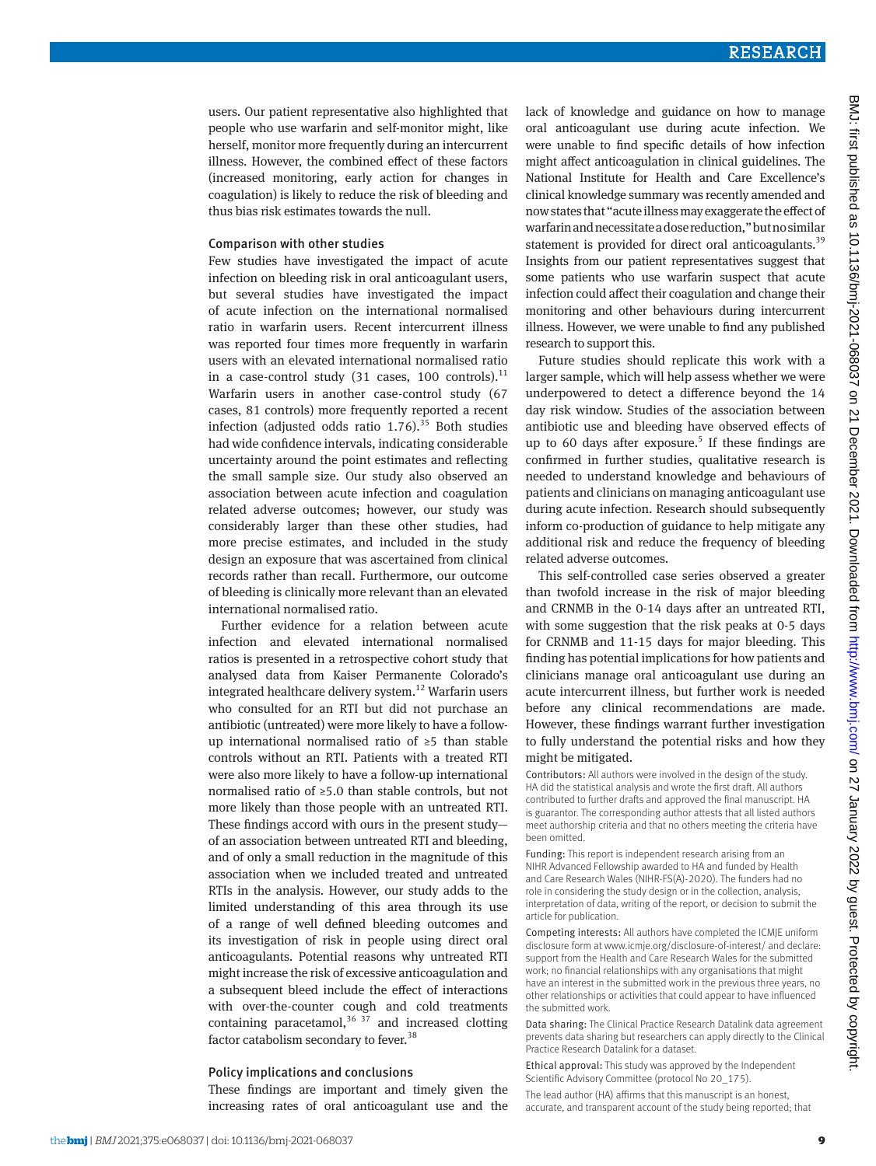users. Our patient representative also highlighted that people who use warfarin and self-monitor might, like herself, monitor more frequently during an intercurrent illness. However, the combined effect of these factors (increased monitoring, early action for changes in coagulation) is likely to reduce the risk of bleeding and thus bias risk estimates towards the null.

#### Comparison with other studies

Few studies have investigated the impact of acute infection on bleeding risk in oral anticoagulant users, but several studies have investigated the impact of acute infection on the international normalised ratio in warfarin users. Recent intercurrent illness was reported four times more frequently in warfarin users with an elevated international normalised ratio in a case-control study  $(31 \text{ cases}, 100 \text{ controls})$ .<sup>11</sup> Warfarin users in another case-control study (67 cases, 81 controls) more frequently reported a recent infection (adjusted odds ratio  $1.76$ ).<sup>35</sup> Both studies had wide confidence intervals, indicating considerable uncertainty around the point estimates and reflecting the small sample size. Our study also observed an association between acute infection and coagulation related adverse outcomes; however, our study was considerably larger than these other studies, had more precise estimates, and included in the study design an exposure that was ascertained from clinical records rather than recall. Furthermore, our outcome of bleeding is clinically more relevant than an elevated international normalised ratio.

Further evidence for a relation between acute infection and elevated international normalised ratios is presented in a retrospective cohort study that analysed data from Kaiser Permanente Colorado's integrated healthcare delivery system.<sup>12</sup> Warfarin users who consulted for an RTI but did not purchase an antibiotic (untreated) were more likely to have a followup international normalised ratio of ≥5 than stable controls without an RTI. Patients with a treated RTI were also more likely to have a follow-up international normalised ratio of ≥5.0 than stable controls, but not more likely than those people with an untreated RTI. These findings accord with ours in the present study of an association between untreated RTI and bleeding, and of only a small reduction in the magnitude of this association when we included treated and untreated RTIs in the analysis. However, our study adds to the limited understanding of this area through its use of a range of well defined bleeding outcomes and its investigation of risk in people using direct oral anticoagulants. Potential reasons why untreated RTI might increase the risk of excessive anticoagulation and a subsequent bleed include the effect of interactions with over-the-counter cough and cold treatments containing paracetamol,  $36 \frac{37}{2}$  and increased clotting factor catabolism secondary to fever.<sup>38</sup>

#### Policy implications and conclusions

These findings are important and timely given the increasing rates of oral anticoagulant use and the lack of knowledge and guidance on how to manage oral anticoagulant use during acute infection. We were unable to find specific details of how infection might affect anticoagulation in clinical guidelines. The National Institute for Health and Care Excellence's clinical knowledge summary was recently amended and now states that "acute illness may exaggerate the effect of warfarin and necessitate a dose reduction," but no similar statement is provided for direct oral anticoagulants.<sup>39</sup> Insights from our patient representatives suggest that some patients who use warfarin suspect that acute infection could affect their coagulation and change their monitoring and other behaviours during intercurrent illness. However, we were unable to find any published research to support this.

Future studies should replicate this work with a larger sample, which will help assess whether we were underpowered to detect a difference beyond the 14 day risk window. Studies of the association between antibiotic use and bleeding have observed effects of up to 60 days after exposure.<sup>5</sup> If these findings are confirmed in further studies, qualitative research is needed to understand knowledge and behaviours of patients and clinicians on managing anticoagulant use during acute infection. Research should subsequently inform co-production of guidance to help mitigate any additional risk and reduce the frequency of bleeding related adverse outcomes.

This self-controlled case series observed a greater than twofold increase in the risk of major bleeding and CRNMB in the 0-14 days after an untreated RTI, with some suggestion that the risk peaks at 0-5 days for CRNMB and 11-15 days for major bleeding. This finding has potential implications for how patients and clinicians manage oral anticoagulant use during an acute intercurrent illness, but further work is needed before any clinical recommendations are made. However, these findings warrant further investigation to fully understand the potential risks and how they might be mitigated.

Contributors: All authors were involved in the design of the study. HA did the statistical analysis and wrote the first draft. All authors contributed to further drafts and approved the final manuscript. HA is guarantor. The corresponding author attests that all listed authors meet authorship criteria and that no others meeting the criteria have been omitted.

Funding: This report is independent research arising from an NIHR Advanced Fellowship awarded to HA and funded by Health and Care Research Wales (NIHR-FS(A)-2020). The funders had no role in considering the study design or in the collection, analysis, interpretation of data, writing of the report, or decision to submit the article for publication.

Competing interests: All authors have completed the ICMJE uniform disclosure form at [www.icmje.org/disclosure-of-interest/](http://www.icmje.org/disclosure-of-interest/) and declare: support from the Health and Care Research Wales for the submitted work; no financial relationships with any organisations that might have an interest in the submitted work in the previous three years, no other relationships or activities that could appear to have influenced the submitted work.

Data sharing: The Clinical Practice Research Datalink data agreement prevents data sharing but researchers can apply directly to the Clinical Practice Research Datalink for a dataset.

Ethical approval: This study was approved by the Independent Scientific Advisory Committee (protocol No 20\_175).

The lead author (HA) affirms that this manuscript is an honest, accurate, and transparent account of the study being reported; that